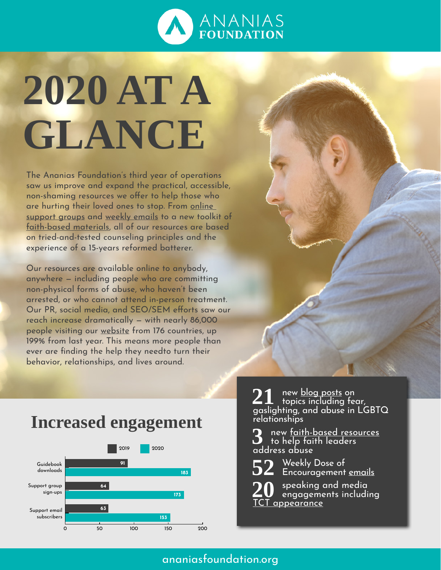

## **2020 AT A GLANCE**

The Ananias Foundation's third year of operations saw us improve and expand the practical, accessible, non-shaming resources we offer to help those who are hurting their loved ones to stop. From [online](https://www.ananiasfoundation.org/groups/)  [support groups](https://www.ananiasfoundation.org/groups/) and [weekly emails](https://www.ananiasfoundation.org/encouragement/) to a new toolkit of [faith-based materials,](https://www.ananiasfoundation.org/faith) all of our resources are based on tried-and-tested counseling principles and the experience of a 15-years reformed batterer.

Our resources are available online to anybody, anywhere — including people who are committing non-physical forms of abuse, who haven't been arrested, or who cannot attend in-person treatment. Our PR, social media, and SEO/SEM efforts saw our reach increase dramatically — with nearly 86,000 people visiting our [website](https://www.ananiasfoundation.org/) from 176 countries, up 199% from last year. This means more people than ever are finding the help they needto turn their behavior, relationships, and lives around.

## **Increased engagement**



**21** new <u>blog posts</u> on<br>gaslighting, and abuse in LGBTQ relationships

**3** new [faith-based resources](https://www.ananiasfoundation.org/faith/) to help faith leaders address abuse

**52** Weekly Dose of Encouragement [emails](https://www.ananiasfoundation.org/encouragement/)

**20** speaking and media engagements including appearance

## [ananiasfoundation.org](http://ananiasfoundation.org)